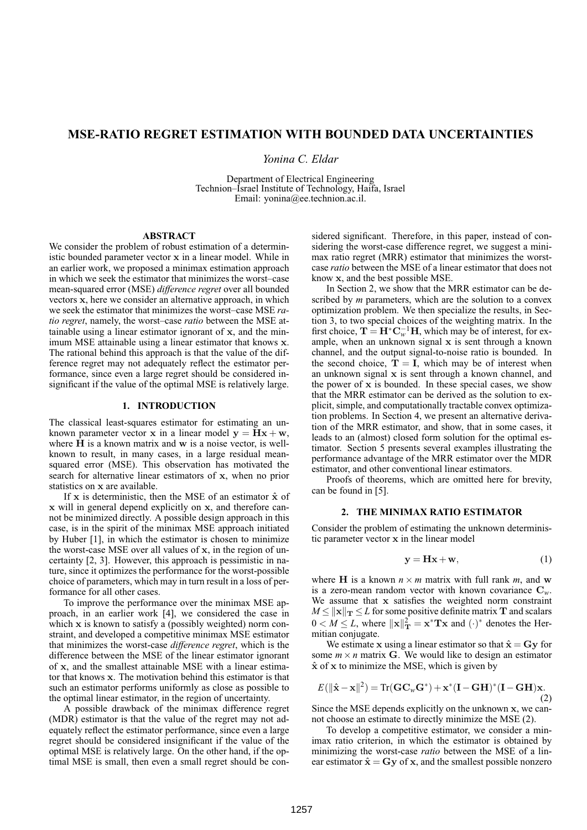# **MSE-RATIO REGRET ESTIMATION WITH BOUNDED DATA UNCERTAINTIES**

*Yonina C. Eldar*

Department of Electrical Engineering Technion–Israel Institute of Technology, Haifa, Israel Email: yonina@ee.technion.ac.il.

# **ABSTRACT**

We consider the problem of robust estimation of a deterministic bounded parameter vector x in a linear model. While in an earlier work, we proposed a minimax estimation approach in which we seek the estimator that minimizes the worst–case mean-squared error (MSE) *difference regret* over all bounded vectors x, here we consider an alternative approach, in which we seek the estimator that minimizes the worst–case MSE *ratio regret*, namely, the worst–case *ratio* between the MSE attainable using a linear estimator ignorant of x, and the minimum MSE attainable using a linear estimator that knows x. The rational behind this approach is that the value of the difference regret may not adequately reflect the estimator performance, since even a large regret should be considered insignificant if the value of the optimal MSE is relatively large.

## **1. INTRODUCTION**

The classical least-squares estimator for estimating an unknown parameter vector x in a linear model  $y = Hx + w$ , where  $H$  is a known matrix and  $w$  is a noise vector, is wellknown to result, in many cases, in a large residual meansquared error (MSE). This observation has motivated the search for alternative linear estimators of x, when no prior statistics on x are available.

If  $x$  is deterministic, then the MSE of an estimator  $\hat{x}$  of x will in general depend explicitly on x, and therefore cannot be minimized directly. A possible design approach in this case, is in the spirit of the minimax MSE approach initiated by Huber [1], in which the estimator is chosen to minimize the worst-case MSE over all values of x, in the region of uncertainty [2, 3]. However, this approach is pessimistic in nature, since it optimizes the performance for the worst-possible choice of parameters, which may in turn result in a loss of performance for all other cases.

To improve the performance over the minimax MSE approach, in an earlier work [4], we considered the case in which x is known to satisfy a (possibly weighted) norm constraint, and developed a competitive minimax MSE estimator that minimizes the worst-case *difference regret*, which is the difference between the MSE of the linear estimator ignorant of x, and the smallest attainable MSE with a linear estimator that knows x. The motivation behind this estimator is that such an estimator performs uniformly as close as possible to the optimal linear estimator, in the region of uncertainty.

A possible drawback of the minimax difference regret (MDR) estimator is that the value of the regret may not adequately reflect the estimator performance, since even a large regret should be considered insignificant if the value of the optimal MSE is relatively large. On the other hand, if the optimal MSE is small, then even a small regret should be considered significant. Therefore, in this paper, instead of considering the worst-case difference regret, we suggest a minimax ratio regret (MRR) estimator that minimizes the worstcase *ratio* between the MSE of a linear estimator that does not know x, and the best possible MSE.

In Section 2, we show that the MRR estimator can be described by *m* parameters, which are the solution to a convex optimization problem. We then specialize the results, in Section 3, to two special choices of the weighting matrix. In the first choice,  $\mathbf{T} = \mathbf{H}^* \mathbf{C}_w^{-1} \mathbf{H}$ , which may be of interest, for example, when an unknown signal  $x$  is sent through a known channel, and the output signal-to-noise ratio is bounded. In the second choice,  $\hat{\mathbf{T}} = \hat{\mathbf{I}}$ , which may be of interest when an unknown signal x is sent through a known channel, and the power of  $x$  is bounded. In these special cases, we show that the MRR estimator can be derived as the solution to explicit, simple, and computationally tractable convex optimization problems. In Section 4, we present an alternative derivation of the MRR estimator, and show, that in some cases, it leads to an (almost) closed form solution for the optimal estimator. Section 5 presents several examples illustrating the performance advantage of the MRR estimator over the MDR estimator, and other conventional linear estimators.

Proofs of theorems, which are omitted here for brevity, can be found in [5].

## **2. THE MINIMAX RATIO ESTIMATOR**

Consider the problem of estimating the unknown deterministic parameter vector x in the linear model

$$
y = Hx + w,\tag{1}
$$

where **H** is a known  $n \times m$  matrix with full rank  $m$ , and w is a zero-mean random vector with known covariance  $C_w$ . We assume that x satisfies the weighted norm constraint  $M \leq ||\mathbf{x}||_T \leq L$  for some positive definite matrix T and scalars  $0 \lt M \leq L$ , where  $\|\mathbf{x}\|_{\mathbf{T}}^2 = \mathbf{x}^* \mathbf{T} \mathbf{x}$  and  $(\cdot)^*$  denotes the Hermitian conjugate.

We estimate x using a linear estimator so that  $\hat{\mathbf{x}} = \mathbf{G}\mathbf{y}$  for some  $m \times n$  matrix G. We would like to design an estimator  $\hat{x}$  of x to minimize the MSE, which is given by

$$
E(||\hat{\mathbf{x}} - \mathbf{x}||^2) = \text{Tr}(\mathbf{G}\mathbf{C}_w\mathbf{G}^*) + \mathbf{x}^*(\mathbf{I} - \mathbf{G}\mathbf{H})^*(\mathbf{I} - \mathbf{G}\mathbf{H})\mathbf{x}.
$$
\n(2)

Since the MSE depends explicitly on the unknown x, we cannot choose an estimate to directly minimize the MSE (2).

To develop a competitive estimator, we consider a minimax ratio criterion, in which the estimator is obtained by minimizing the worst-case *ratio* between the MSE of a linear estimator  $\hat{\mathbf{x}} = \mathbf{G}\mathbf{y}$  of x, and the smallest possible nonzero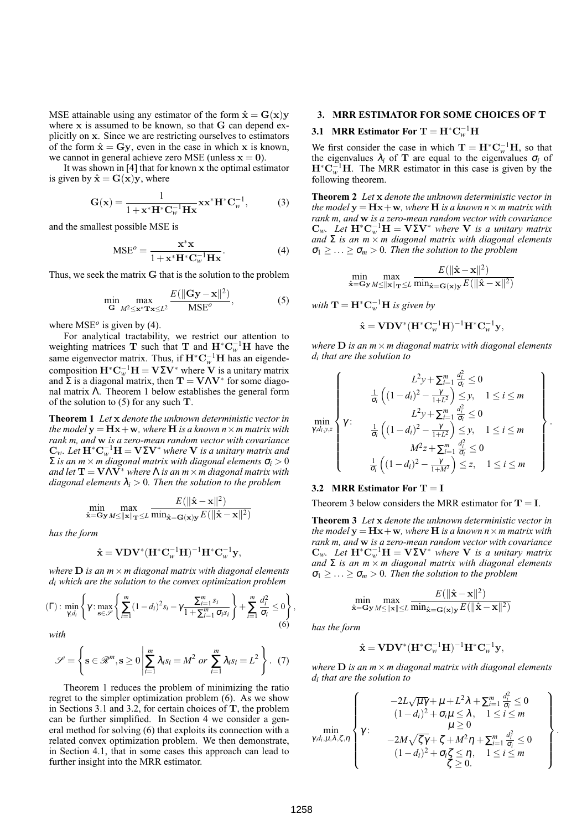MSE attainable using any estimator of the form  $\hat{\mathbf{x}} = \mathbf{G}(\mathbf{x})\mathbf{y}$ where x is assumed to be known, so that G can depend explicitly on x. Since we are restricting ourselves to estimators of the form  $\hat{\mathbf{x}} = \mathbf{G}\mathbf{v}$ , even in the case in which x is known, we cannot in general achieve zero MSE (unless  $x = 0$ ).

It was shown in [4] that for known x the optimal estimator is given by  $\hat{\mathbf{x}} = \mathbf{G}(\mathbf{x})\mathbf{v}$ , where

$$
\mathbf{G}(\mathbf{x}) = \frac{1}{1 + \mathbf{x}^* \mathbf{H}^* \mathbf{C}_w^{-1} \mathbf{H} \mathbf{x}} \mathbf{x} \mathbf{x}^* \mathbf{H}^* \mathbf{C}_w^{-1},
$$
 (3)

and the smallest possible MSE is

$$
MSE^{o} = \frac{\mathbf{x}^{*}\mathbf{x}}{1 + \mathbf{x}^{*}\mathbf{H}^{*}\mathbf{C}_{w}^{-1}\mathbf{H}\mathbf{x}}.
$$
 (4)

Thus, we seek the matrix G that is the solution to the problem

$$
\min_{\mathbf{G}} \max_{M^2 \le \mathbf{x}^* \mathbf{T} \mathbf{x} \le L^2} \frac{E(||\mathbf{G}\mathbf{y} - \mathbf{x}||^2)}{\text{MSE}^o},\tag{5}
$$

where  $MSE^{o}$  is given by (4).

For analytical tractability, we restrict our attention to weighting matrices **T** such that **T** and  $\mathbf{H}^* \mathbf{C}_w^{-1} \mathbf{H}$  have the same eigenvector matrix. Thus, if  $\mathbf{H}^* \mathbf{C}_w^{-1} \mathbf{H}$  has an eigendecomposition  $\mathbf{H}^* \mathbf{C}_w^{-1} \mathbf{H} = \mathbf{V} \Sigma \mathbf{V}^*$  where  $\mathbf{V}$  is a unitary matrix and  $\Sigma$  is a diagonal matrix, then  $T = V\Lambda V^*$  for some diagonal matrix Λ. Theorem 1 below establishes the general form of the solution to  $(5)$  for any such **T**.

**Theorem 1** *Let* x *denote the unknown deterministic vector in the model*  $y = Hx + w$ *, where*  $H$  *is a known*  $n \times m$  *matrix with rank m, and* w *is a zero-mean random vector with covariance*  ${\bf C}_w$ . Let  ${\bf H}^*{\bf C}_w^{-1}{\bf H}={\bf V}\Sigma{\bf V}^*$  where  ${\bf V}$  is a unitary matrix and  $\Sigma$  *is an m*  $\times$  *m* diagonal matrix with diagonal elements  $\sigma_i > 0$ *and let*  $T = V\Lambda V^*$  *where*  $\Lambda$  *is an m*  $\times$  *m diagonal matrix with diagonal elements*  $\lambda_i > 0$ *. Then the solution to the problem* 

$$
\min_{\hat{\mathbf{x}} = \mathbf{G}\mathbf{y}} \max_{M \leq \|\mathbf{x}\| \mathbf{T} \leq L} \frac{E(\|\hat{\mathbf{x}} - \mathbf{x}\|^2)}{\min_{\hat{\mathbf{x}} = \mathbf{G}(\mathbf{x})\mathbf{y}} E(\|\hat{\mathbf{x}} - \mathbf{x}\|^2)}
$$

*has the form*

$$
\hat{\mathbf{x}} = \mathbf{V} \mathbf{D} \mathbf{V}^* (\mathbf{H}^* \mathbf{C}_w^{-1} \mathbf{H})^{-1} \mathbf{H}^* \mathbf{C}_w^{-1} \mathbf{y},
$$

*where* D *is an m*×*m diagonal matrix with diagonal elements di which are the solution to the convex optimization problem*

$$
(\Gamma): \min_{\gamma,d_i} \left\{ \gamma : \max_{\mathbf{s} \in \mathscr{S}} \left\{ \sum_{i=1}^m (1-d_i)^2 s_i - \gamma \frac{\sum_{i=1}^m s_i}{1 + \sum_{i=1}^m \sigma_i s_i} \right\} + \sum_{i=1}^m \frac{d_i^2}{\sigma_i} \le 0 \right\},\tag{6}
$$

*with*

$$
\mathscr{S} = \left\{ \mathbf{s} \in \mathcal{R}^m, \mathbf{s} \ge 0 \left| \sum_{i=1}^m \lambda_i s_i = M^2 \text{ or } \sum_{i=1}^m \lambda_i s_i = L^2 \right. \right\}.
$$
 (7)

Theorem 1 reduces the problem of minimizing the ratio regret to the simpler optimization problem (6). As we show in Sections 3.1 and 3.2, for certain choices of T, the problem can be further simplified. In Section 4 we consider a general method for solving (6) that exploits its connection with a related convex optimization problem. We then demonstrate, in Section 4.1, that in some cases this approach can lead to further insight into the MRR estimator.

## **3. MRR ESTIMATOR FOR SOME CHOICES OF** T

# **3.1** MRR Estimator For  $T = H^*C_w^{-1}H$

We first consider the case in which  $\mathbf{T} = \mathbf{H}^* \mathbf{C}_w^{-1} \mathbf{H}$ , so that the eigenvalues  $\lambda_i$  of **T** are equal to the eigenvalues  $\sigma_i$  of  $\mathbf{H}^* \mathbf{C}_{w}^{-1} \mathbf{H}$ . The MRR estimator in this case is given by the following theorem.

**Theorem 2** *Let* x *denote the unknown deterministic vector in the model*  $y = Hx + w$ *, where*  $H$  *is a known*  $n \times m$  *matrix with rank m, and* w *is a zero-mean random vector with covariance*  $\mathbf{C}_w$ . Let  $\mathbf{H}^* \mathbf{C}_w^{-1} \mathbf{H} = \mathbf{V} \Sigma \mathbf{V}^*$  where **V** is a unitary matrix *and* Σ *is an m* × *m diagonal matrix with diagonal elements*  $\sigma_1 \geq \ldots \geq \sigma_m > 0$ . Then the solution to the problem

$$
\min_{\hat{\mathbf{x}} = \mathbf{G}\mathbf{y}} \max_{M \le ||\mathbf{x}||_{\mathbf{T}} \le L} \frac{E(||\hat{\mathbf{x}} - \mathbf{x}||^2)}{\min_{\hat{\mathbf{x}} = \mathbf{G}(\mathbf{x})\mathbf{y}} E(||\hat{\mathbf{x}} - \mathbf{x}||^2)}
$$

 $with \mathbf{T} = \mathbf{H}^* \mathbf{C}_w^{-1} \mathbf{H}$  *is given by* 

$$
\hat{\mathbf{x}} = \mathbf{V} \mathbf{D} \mathbf{V}^* (\mathbf{H}^* \mathbf{C}_w^{-1} \mathbf{H})^{-1} \mathbf{H}^* \mathbf{C}_w^{-1} \mathbf{y},
$$

*where*  $\bf{D}$  *is an*  $m \times m$  *diagonal matrix with diagonal elements di that are the solution to*

$$
\min_{\gamma,d_i,y,z} \left\{\n\begin{array}{c}\nL^2y + \sum_{i=1}^m \frac{d_i^2}{\sigma_i} \leq 0 \\
\frac{1}{\sigma_i} \left( (1-d_i)^2 - \frac{\gamma}{1+L^2} \right) \leq y, \quad 1 \leq i \leq m \\
L^2y + \sum_{i=1}^m \frac{d_i^2}{\sigma_i} \leq 0 \\
\frac{1}{\sigma_i} \left( (1-d_i)^2 - \frac{\gamma}{1+L^2} \right) \leq y, \quad 1 \leq i \leq m \\
M^2z + \sum_{i=1}^m \frac{d_i^2}{\sigma_i} \leq 0 \\
\frac{1}{\sigma_i} \left( (1-d_i)^2 - \frac{\gamma}{1+M^2} \right) \leq z, \quad 1 \leq i \leq m\n\end{array}\n\right\}.
$$

#### **3.2 MRR Estimator For** T = I

Theorem 3 below considers the MRR estimator for  $T = I$ .

**Theorem 3** *Let* x *denote the unknown deterministic vector in the model*  $y = Hx + w$ *, where*  $H$  *is a known*  $n \times m$  *matrix with rank m, and* w *is a zero-mean random vector with covariance*  $\mathbf{C}_w$ . Let  $\mathbf{H}^* \mathbf{C}_w^{-1} \mathbf{H} = \mathbf{V} \Sigma \mathbf{V}^*$  where **V** is a unitary matrix *and* Σ *is an m* × *m diagonal matrix with diagonal elements*  $\sigma_1 \geq \ldots \geq \sigma_m > 0$ . Then the solution to the problem

$$
\min_{\hat{\mathbf{x}} = \mathbf{G}\mathbf{y}} \max_{M \le ||\mathbf{x}|| \le L} \frac{E(||\hat{\mathbf{x}} - \mathbf{x}||^2)}{\min_{\hat{\mathbf{x}} = \mathbf{G}(\mathbf{x})\mathbf{y}} E(||\hat{\mathbf{x}} - \mathbf{x}||^2)}
$$

*has the form*

$$
\hat{\mathbf{x}} = \mathbf{V} \mathbf{D} \mathbf{V}^* (\mathbf{H}^* \mathbf{C}_w^{-1} \mathbf{H})^{-1} \mathbf{H}^* \mathbf{C}_w^{-1} \mathbf{y},
$$

*where* D *is an m*×*m diagonal matrix with diagonal elements di that are the solution to*

$$
\min_{\gamma, d_i, \mu, \lambda, \zeta, \eta} \left\{ \gamma : \begin{array}{c} -2L\sqrt{\mu\gamma} + \mu + L^2\lambda + \sum_{i=1}^m \frac{d_i^2}{\sigma_i} \le 0 \\ (1 - d_i)^2 + \sigma_i\mu \le \lambda, \quad 1 \le i \le m \\ \mu \ge 0 \\ -2M\sqrt{\zeta\gamma} + \zeta + M^2\eta + \sum_{i=1}^m \frac{d_i^2}{\sigma_i} \le 0 \\ (1 - d_i)^2 + \sigma_i\zeta \le \eta, \quad 1 \le i \le m \\ \zeta \ge 0. \end{array} \right\}
$$

.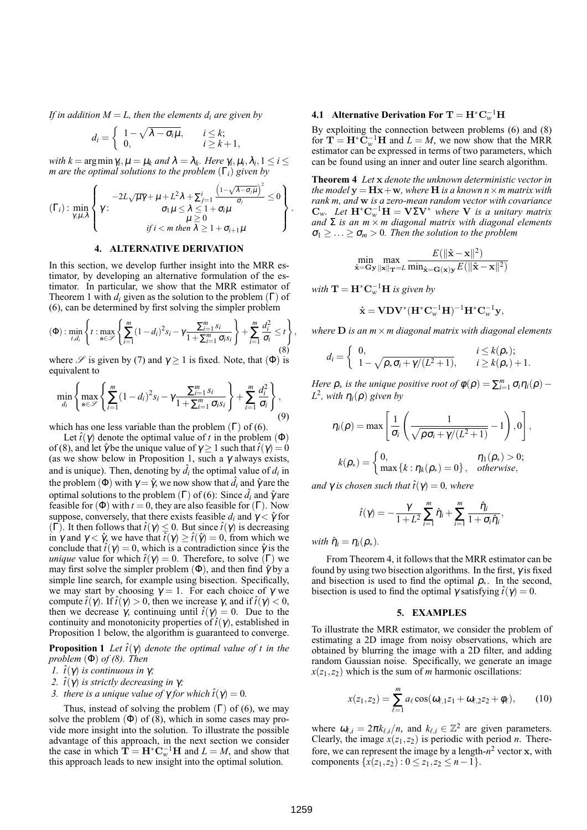*If in addition*  $M = L$ , then the elements  $d_i$  are given by

$$
d_i = \begin{cases} 1 - \sqrt{\lambda - \sigma_i \mu}, & i \leq k; \\ 0, & i \geq k+1, \end{cases}
$$

*with*  $k = \arg \min \gamma_i, \mu = \mu_k$  *and*  $\lambda = \lambda_k$ . Here  $\gamma_i, \mu_i, \lambda_i, 1 \leq i \leq k$ *m are the optimal solutions to the problem* (Γ*i*) *given by*

$$
(\Gamma_i): \min_{\gamma,\mu,\lambda} \left\{\gamma: \begin{array}{c} -2L\sqrt{\mu\gamma}+\mu+L^2\lambda+\sum_{j=1}^i\frac{\left(1-\sqrt{\lambda-\sigma_j\mu}\right)^2}{\sigma_j} \leq 0\\ \gamma\mu\leq \lambda \leq 1+\sigma_i\mu\\ \mu\geq 0\\ \text{if } i < m \text{ then } \lambda \geq 1+\sigma_{i+1}\mu \end{array}\right\}
$$

### **4. ALTERNATIVE DERIVATION**

In this section, we develop further insight into the MRR estimator, by developing an alternative formulation of the estimator. In particular, we show that the MRR estimator of Theorem 1 with  $d_i$  given as the solution to the problem  $(Γ)$  of (6), can be determined by first solving the simpler problem

$$
\textbf{(Φ)}:\min_{t,d_i}\left\{t:\max_{\mathbf{s}\in\mathcal{S}}\left\{\sum_{i=1}^m(1-d_i)^2s_i-\gamma\frac{\sum_{i=1}^ms_i}{1+\sum_{i=1}^m\sigma_is_i}\right\}+\sum_{i=1}^m\frac{d_i^2}{\sigma_i}\leq t\right\},\tag{8}
$$

where  $\mathscr S$  is given by (7) and  $\gamma > 1$  is fixed. Note, that ( $\Phi$ ) is equivalent to

$$
\min_{d_i} \left\{ \max_{\mathbf{s} \in \mathscr{S}} \left\{ \sum_{i=1}^m (1 - d_i)^2 s_i - \gamma \frac{\sum_{i=1}^m s_i}{1 + \sum_{i=1}^m \sigma_i s_i} \right\} + \sum_{i=1}^m \frac{d_i^2}{\sigma_i} \right\},\tag{9}
$$

which has one less variable than the problem  $(Γ)$  of  $(6)$ .

Let  $\hat{t}(\gamma)$  denote the optimal value of *t* in the problem ( $\Phi$ ) of (8), and let  $\hat{\gamma}$  be the unique value of  $\gamma \geq 1$  such that  $\hat{t}(\gamma) = 0$ (as we show below in Proposition 1, such a  $\gamma$  always exists, and is unique). Then, denoting by  $\hat{d}_i$  the optimal value of  $d_i$  in the problem ( $\Phi$ ) with  $\gamma = \hat{\gamma}$ , we now show that  $\hat{d}_i$  and  $\hat{\gamma}$  are the optimal solutions to the problem ( $\Gamma$ ) of (6): Since  $\hat{d}_i$  and  $\hat{\gamma}$  are feasible for  $(\Phi)$  with  $t = 0$ , they are also feasible for  $(\Gamma)$ . Now suppose, conversely, that there exists feasible  $d_i$  and  $\gamma < \hat{\gamma}$  for (Γ). It then follows that  $\hat{t}(γ) ≤ 0$ . But since  $\hat{t}(γ)$  is decreasing in  $\gamma$  and  $\gamma < \hat{\gamma}$ , we have that  $\hat{t}(\gamma) \geq \hat{t}(\hat{\gamma}) = 0$ , from which we conclude that  $\hat{t}(\gamma) = 0$ , which is a contradiction since  $\hat{\gamma}$  is the *unique* value for which  $\hat{t}(\gamma) = 0$ . Therefore, to solve (Γ) we may first solve the simpler problem ( $\Phi$ ), and then find  $\hat{\gamma}$  by a simple line search, for example using bisection. Specifically, we may start by choosing  $\gamma = 1$ . For each choice of  $\gamma$  we compute  $\hat{t}(\gamma)$ . If  $\hat{t}(\gamma) > 0$ , then we increase  $\gamma$ , and if  $\hat{t}(\gamma) < 0$ , then we decrease  $\gamma$ , continuing until  $\hat{t}(\gamma) = 0$ . Due to the continuity and monotonicity properties of  $\hat{t}(\gamma)$ , established in Proposition 1 below, the algorithm is guaranteed to converge.

**Proposition 1** Let  $\hat{t}(\gamma)$  denote the optimal value of t in the *problem* (Φ) *of (8). Then*

- *l*.  $\hat{t}(\gamma)$  *is continuous in* γ*;*
- 2.  $\hat{t}(\gamma)$  *is strictly decreasing in* γ*;*
- *3. there is a unique value of*  $\gamma$  *for which*  $\hat{t}(\gamma) = 0$ *.*

Thus, instead of solving the problem  $(\Gamma)$  of (6), we may solve the problem  $(\Phi)$  of  $(8)$ , which in some cases may provide more insight into the solution. To illustrate the possible advantage of this approach, in the next section we consider the case in which  $\mathbf{T} = \mathbf{H}^* \mathbf{C}_w^{-1} \mathbf{H}$  and  $L = M$ , and show that this approach leads to new insight into the optimal solution.

# **4.1** Alternative Derivation For  $T = H^*C_w^{-1}H$

By exploiting the connection between problems (6) and (8) for  $\mathbf{T} = \mathbf{H}^* \widetilde{\mathbf{C}}_w^{-1} \mathbf{H}$  and  $L = M$ , we now show that the MRR estimator can be expressed in terms of two parameters, which can be found using an inner and outer line search algorithm.

**Theorem 4** *Let* x *denote the unknown deterministic vector in the model*  $y = Hx + w$ *, where*  $H$  *is a known*  $n \times m$  *matrix with rank m, and* w *is a zero-mean random vector with covariance*  $\mathbf{C}_w$ . Let  $\mathbf{H}^* \mathbf{C}_w^{-1} \mathbf{H} = \mathbf{V} \Sigma \mathbf{V}^*$  *where* **V** *is a unitary matrix and*  $\Sigma$  *is an m*  $\times$  *m diagonal matrix with diagonal elements*  $\sigma_1$  > ... >  $\sigma_m$  > 0. Then the solution to the problem

$$
\min_{\hat{\mathbf{x}} = \mathbf{G}\mathbf{y}} \max_{\|\mathbf{x}\|_{\mathbf{T}} = L} \frac{E(\|\hat{\mathbf{x}} - \mathbf{x}\|^2)}{\min_{\hat{\mathbf{x}} = \mathbf{G}(\mathbf{x})\mathbf{y}} E(\|\hat{\mathbf{x}} - \mathbf{x}\|^2)}
$$

 $with \mathbf{T} = \mathbf{H}^* \mathbf{C}_w^{-1} \mathbf{H}$  *is given by* 

.

$$
\hat{\mathbf{x}} = \mathbf{V} \mathbf{D} \mathbf{V}^* (\mathbf{H}^* \mathbf{C}_w^{-1} \mathbf{H})^{-1} \mathbf{H}^* \mathbf{C}_w^{-1} \mathbf{y},
$$

*where* D *is an m*×*m diagonal matrix with diagonal elements*

$$
d_i = \begin{cases} 0, & i \leq k(\rho_*)\text{;} \\ 1 - \sqrt{\rho_* \sigma_i + \gamma/(L^2 + 1)}, & i \geq k(\rho_*) + 1. \end{cases}
$$

*Here*  $\rho_*$  *is the unique positive root of*  $\phi(\rho) = \sum_{i=1}^m \sigma_i \eta_i(\rho) -$ *L*2*, with* <sup>η</sup>*i*(ρ) *given by*

$$
\eta_i(\rho) = \max \left[ \frac{1}{\sigma_i} \left( \frac{1}{\sqrt{\rho \sigma_i + \gamma/(L^2 + 1)}} - 1 \right), 0 \right],
$$
  

$$
k(\rho_*) = \begin{cases} 0, & \eta_1(\rho_*) > 0; \\ \max \{ k : \eta_k(\rho_*) = 0 \}, & otherwise, \end{cases}
$$

*and*  $\gamma$  *is chosen such that*  $\hat{t}(\gamma) = 0$ *, where* 

$$
\hat{t}(\gamma) = -\frac{\gamma}{1+L^2} \sum_{i=1}^m \hat{\eta}_i + \sum_{i=1}^m \frac{\hat{\eta}_i}{1+\sigma_i \hat{\eta}_i},
$$

*with*  $\hat{\eta}_i = \eta_i(\rho_*)$ *.* 

From Theorem 4, it follows that the MRR estimator can be found by using two bisection algorithms. In the first,  $\gamma$  is fixed and bisection is used to find the optimal  $\rho_{\ast}$ . In the second, bisection is used to find the optimal  $\gamma$  satisfying  $\hat{t}(\gamma) = 0$ .

#### **5. EXAMPLES**

To illustrate the MRR estimator, we consider the problem of estimating a 2D image from noisy observations, which are obtained by blurring the image with a 2D filter, and adding random Gaussian noise. Specifically, we generate an image  $x(z_1, z_2)$  which is the sum of *m* harmonic oscillations:

$$
x(z_1, z_2) = \sum_{\ell=1}^{m} a_{\ell} \cos(\omega_{\ell,1} z_1 + \omega_{\ell,2} z_2 + \phi_{\ell}), \quad (10)
$$

where  $\omega_{\ell,i} = 2\pi k_{\ell,i}/n$ , and  $k_{\ell,i} \in \mathbb{Z}^2$  are given parameters. Clearly, the image  $x(z_1, z_2)$  is periodic with period *n*. Therefore, we can represent the image by a length- $n^2$  vector x, with components  $\{x(z_1, z_2) : 0 \le z_1, z_2 \le n-1\}.$